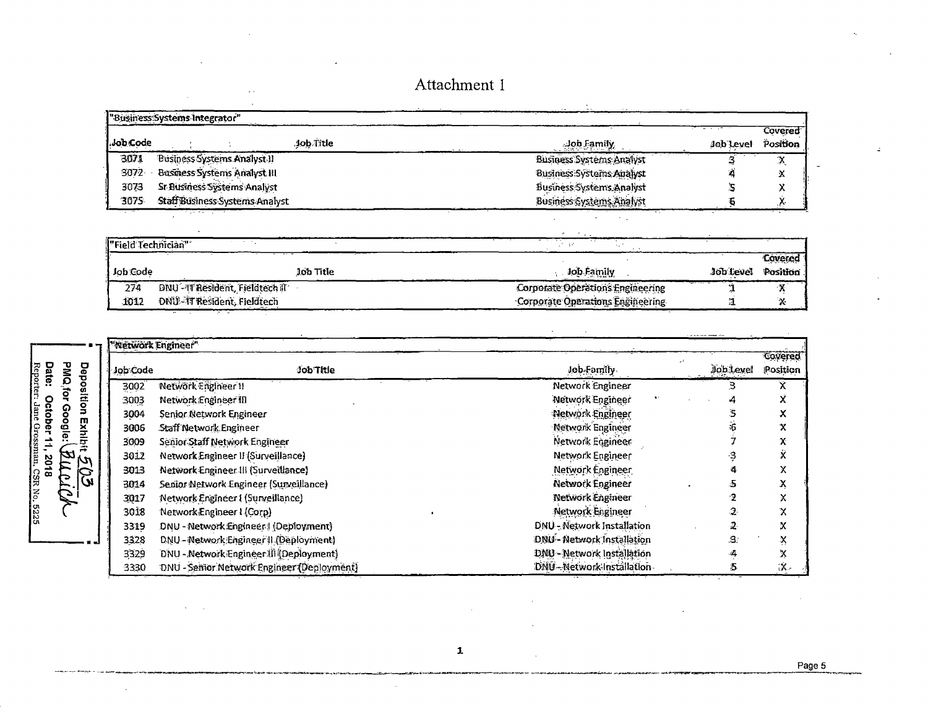|                    | "Business Systems Integrator"       |                                                     |           |          |
|--------------------|-------------------------------------|-----------------------------------------------------|-----------|----------|
|                    |                                     |                                                     |           | Covered  |
| .Job Code          | Job Title                           | Job Family                                          | Job Level | Position |
| 3071               | <b>Business Systems Analyst II</b>  | <b>Business Systems Analyst</b>                     |           | X        |
| 3072               | <b>Business Systems Analyst III</b> | Business: Systems Analyst                           |           | Х        |
| 3073               | Sr Business Systems Analyst         | Business Systems Analyst                            |           | v        |
| 3075               | Staff Business Systems Analyst      | Business Systems Analyst                            |           |          |
| . .                |                                     |                                                     |           |          |
|                    |                                     | $\mathcal{H}_{\rm{max}} = \mathcal{H}_{\rm{max}}$ . |           |          |
| "Field Technician" | <b>College</b>                      | $2 - 10$                                            |           |          |
|                    |                                     |                                                     |           | Covered  |
| Job Code           | Job Title                           | Job Family                                          | Job Level | Position |
| 274                | DNU - IT Resident, Fieldtech il     | Corporate Operations Engineering                    |           | χ        |
| 1012               | <b>DNU-11 Resident, Fieldtech</b>   | Corporate Operations Engineering                    |           | X        |

|      |         |                | <b>Wetwork Engineer</b> " |                                            |                            |           |                            |
|------|---------|----------------|---------------------------|--------------------------------------------|----------------------------|-----------|----------------------------|
| Date | PMQ     | <b>De</b><br>ਹ | Job Code                  | Job Title                                  | Job-Family                 | Job Level | <b>Covered</b><br>Position |
|      |         | ۰              | 3002                      | Netwörk Engineer II                        | Network Engineer           |           |                            |
| O    |         | ä              | 3003                      | Network Engineer III                       | Network Engineer           |           |                            |
| ctob |         |                | 3004                      | Senior Network Engineer                    | Network Engineer           |           |                            |
|      | $\circ$ | m              | 3006                      | Staff Network Engineer                     | Network Engineer           |           |                            |
|      |         |                | 3009                      | Senior Staff Network Engineer              | Network Eignneer           |           |                            |
|      | Ы       | M              | 3012                      | Network Engineer II (Surveillance)         | Network Engineer           |           |                            |
| 2018 | 戸       | Ò              | 3013                      | Network Engineer III (Surveillance)        | Network Engineer           |           |                            |
| န္တြ | ∍       | W              | 3014                      | Senior Network Engineer (Surveillance)     | Network Engineer           |           |                            |
| ¦š   | E,      |                | 3017                      | Network Engineer 1 (Surveillance)          | <b>Network</b> Engineer    |           |                            |
| 3225 |         |                | 3018                      | Network Engineer I (Corp)                  | Network Engineer           |           |                            |
|      |         |                | 3319                      | DNU - Network Engineer (Deployment)        | DNU - Network Installation |           |                            |
|      |         |                | 3328                      | DNU - Network Engineer II (Deployment)     | DNU - Network Installation | 3.        | x                          |
|      |         |                | 3329                      | DNU - Network Engineer III (Deployment)    | DNU - Network Installation |           |                            |
|      |         |                | 3330                      | DNU - Senior Network Engineer (Deployment) | DNU-Network-Installation-  |           | ίХ.                        |

 $\mathbf{1}$ 

 $\mathcal{L}_{\mathcal{A}}$ 

 $\mathbb{R}^2$ 

и,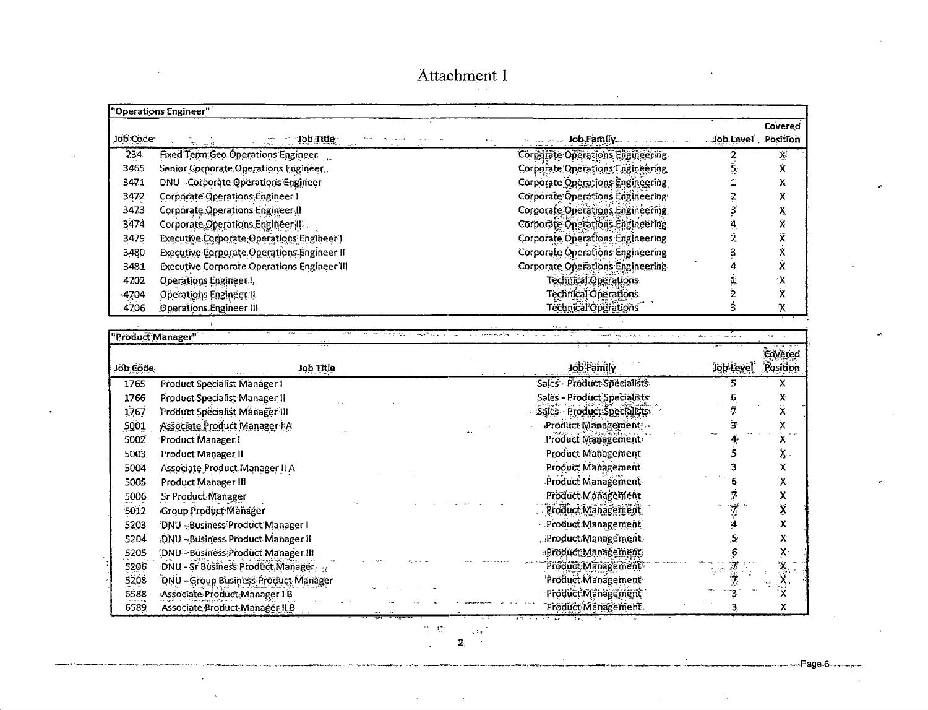|          | "Operations Engineer"                                               |                                         |                    |         |  |  |
|----------|---------------------------------------------------------------------|-----------------------------------------|--------------------|---------|--|--|
| Job Code | $\mathcal{L} = \mathcal{L} = \mathcal{L} = \mathcal{L}$<br>ಲ್ಲಿ ಬಾಲ | Job Family                              | Job Level Rosition | Covered |  |  |
| 234      | Fixed Term Geo Operations Engineer                                  | Corporate Operations Engineering        |                    |         |  |  |
| 3465     | Senior Corporate Operations Engineer.                               | Corporate Operations Engineering        |                    |         |  |  |
| 3471     | DNU - Corporate Operations Engineer                                 | Corporate Operations Engineering        |                    |         |  |  |
| 3472     | Corporate Operations Engineer I                                     | <b>Corporate Operations Engineering</b> |                    |         |  |  |
| 3473     | Corporate Operations Engineer II                                    | Corporate Operations Engineering        |                    |         |  |  |
| 3474     | Corporate Operations Engineer (III,                                 | Corporate Operations Engineering        |                    |         |  |  |
| 3479     | Executive Corporate Operations Engineer )                           | <b>Corporate Operations Engineering</b> |                    |         |  |  |
| 3480     | Executive Corporate Operations Engineer II                          | <b>Corporate Operations Engineering</b> |                    |         |  |  |
| 3481     | <b>Executive Corporate Operations Engineer III</b>                  | <b>Corporate Operations Engineering</b> |                    |         |  |  |
| 4702     | Operations Engineer I.                                              | Technical Operations                    |                    | ۰x      |  |  |
| $-4704$  | Operations Engineer II                                              | <b>Technical Operations</b>             |                    |         |  |  |
| 4706     | Operations Engineer III                                             | Technical Operations                    |                    | Х       |  |  |

T

Page 6

|          | "Product Manager"                     |                             |           | y,                  |
|----------|---------------------------------------|-----------------------------|-----------|---------------------|
| Job Code | Job Title                             | Job Family                  | Job Level | Covered<br>Position |
| 1765     | Product Specialist Manager I          | Sales - Product Specialists |           | х                   |
| 1766     | Product Specialist Manager II         | Sales - Product Specialists |           |                     |
| 1767     | Product Specialist Manager III        | Sales - Product Specialists |           |                     |
| 5001     | Associate Product Manager I A         | Product Management .        |           |                     |
| 5002     | Product Manager I                     | Product Management          |           |                     |
| 5003     | Product Manager II                    | <b>Product Management</b>   |           |                     |
| 5004     | Associate Product Manager II A        | Product Management          |           |                     |
| 5005     | Product Manager III                   | Product Management          |           |                     |
| 5006     | Sr Product Manager                    | Product Management          |           |                     |
| 5012     | Group Product Manager                 | Product Management          |           |                     |
| 5203     | DNU-Business Product Manager I        | Product:Management          |           |                     |
| 5204     | :DNU - Business Product Manager II    | .Product/Management         |           |                     |
| 5205     | (DNU-Business Product Manager III     | <b>Product Management</b>   |           |                     |
| 5206     | DNU - Sr Business Product Manager     | Product Management          | 뉴언        |                     |
| 5208     | 'DNU - Group Business Product Manager | Product Management          |           |                     |
| 6588     | Associate Product Manager 18          | Product Management          |           |                     |
| 6589     | Associate Product Manager ILB         | Pröduct Mänagement          |           |                     |

 $\frac{1}{\sqrt{2}}$  ,  $\frac{1}{\sqrt{2}}\frac{1}{\sqrt{2}}$  ,  $\frac{1}{2}$ 

 $\sim$   $\sim$ 

 $\bar{\mathbf{Z}}_i$ 

i.

 $\sim$ 

 $\mathbf{v}$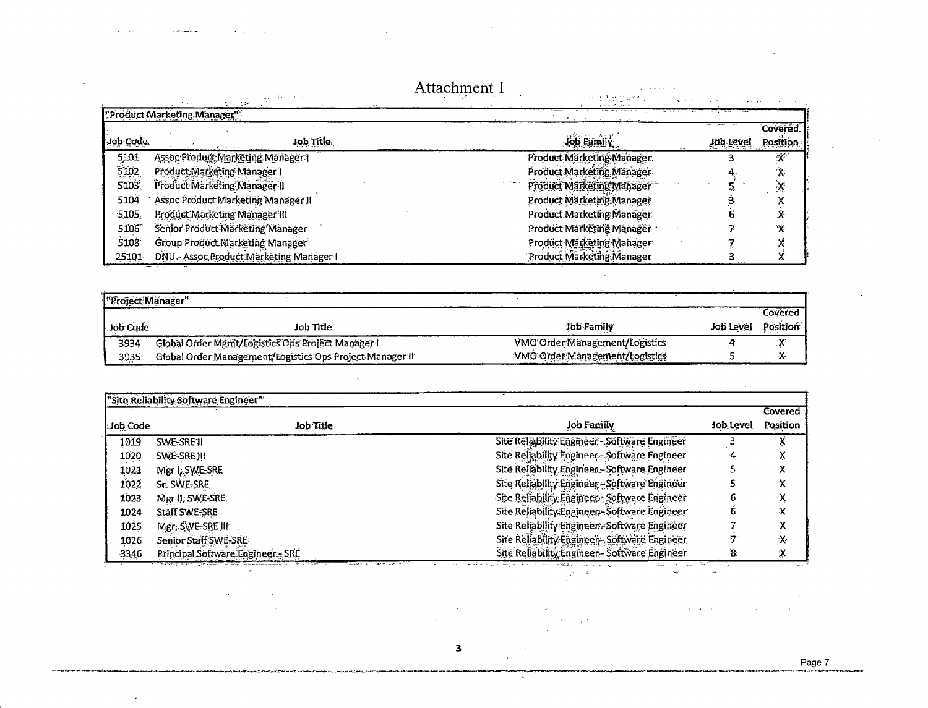|           |                                         | Attachment 1                |           |                     |
|-----------|-----------------------------------------|-----------------------------|-----------|---------------------|
|           | "Product Marketing Manager"             |                             |           |                     |
| lob Code. | Job Title                               | Job Family                  | Job Level | Covered<br>Position |
| 5101      | Assoc Product Marketing Manager I       | Product Marketing Manager   |           |                     |
| 5102      | Product Marketing Manager I             | Product Marketing Manager   |           | $\lambda$           |
| 5103      | Product Marketing Manager II            | Product Marketing Manager   |           | $\mathbf{x}$        |
| 5104      | Assoc Product Marketing Manager II      | Product Marketing Manager   |           |                     |
| 5105      | Product Marketing Manager III           | Product Marketing Manager   |           |                     |
| 5106      | Senior Product Marketing Manager        | Product Marketing Manager - |           | Ÿ.                  |
| 5108      | Group Product Marketing Manager         | Product Marketing Manager   |           |                     |
| 25101     | DNU - Assoc Product Marketing Manager I | Product Marketing Manager   |           |                     |

 $\sim 10^6$ 

 $\alpha=4$ 

÷,

 $\sim$  increases  $\omega$ 

 $\sim$  $\sim$ 

 $\mathcal{A}^{\pm}$ 

 $\langle \cdot \rangle$ 

 $\mathcal{L}$ 

 $\mathbf{L} = \mathbf{L} \mathbf{L} = \mathbf{L}$ 

ä,

 $\sim$   $\sim$ 

 $\sim$   $\sim$  $\mathbf{r}$ 

| Feroject Manager" |                                                          |                                |           | Covered               |
|-------------------|----------------------------------------------------------|--------------------------------|-----------|-----------------------|
| Job Code          | Job Title                                                | Job Family                     | Job Level | Position <sup>®</sup> |
| 3934              | Global Order Mgmt/Logistics Ops Project Manager I        | VMO Order Management/Logistics |           |                       |
| 3935              | Global Order Management/Logistics Ops Project Manager II | VMO Order Management/Logistics |           |                       |

 $\sim$ 

|          |                                   |                                               |           | Covered      |
|----------|-----------------------------------|-----------------------------------------------|-----------|--------------|
| Job Code | Job Title                         | Job Family                                    | Job Level | Position     |
| 1019     | SWE-SRE1                          | Site Reliability Engineer - Software Engineer |           |              |
| 1020     | SWE-SREJII                        | Site Reliability Engineer-Software Engineer   |           |              |
| 1021     | Mgr I. SWE-SRE                    | Site Reliability Engineer - Software Engineer |           |              |
| 1022     | Sr. SWE-SRE                       | Site Reliability Engineer - Software Engineer |           |              |
| 1023     | Mgr II, SWE-SRE.                  | Site Reliability Engineer - Software Engineer |           | л            |
| 1024     | <b>Staff SWE-SRE</b>              | Site Reliability:Engineer - Software Engineer |           | x            |
| 1025     | Mgr, SWE-SRE III                  | Site Reliability Engineer - Software Engineer |           | Λ            |
| 1026     | Senior Staff SWE-SRE              | Site Reliability Engineer - Software Engineer |           | $\pmb{\chi}$ |
| 3346     | Principal Software Engineer - SRE | Site Reliability Engineer - Software Engineer |           | X            |

#### $\mathbf{B}$

 $\sim$ 

 $\sim 3$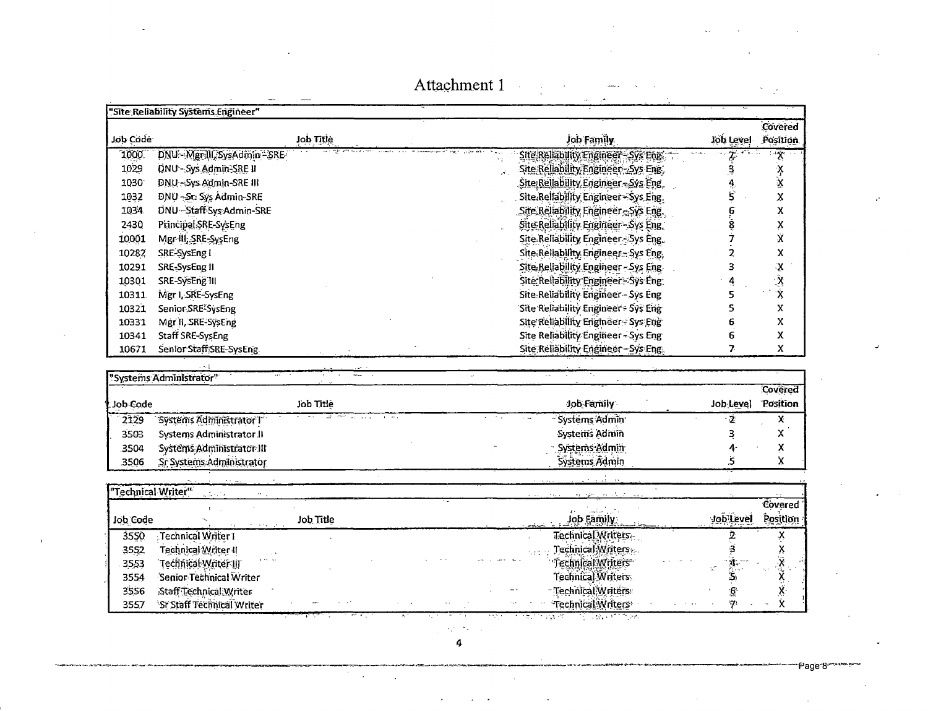|                    | "Site Reliability Systems Engineer" |                                      |              |                             |
|--------------------|-------------------------------------|--------------------------------------|--------------|-----------------------------|
|                    |                                     |                                      |              | Covered                     |
| Job Code           | Job Title                           | Job Family                           |              | Job Level Position          |
| 1000               | DNU - Mgr.III, SysAdmin - SRE       | Site Reliability Engineer - Sys Engi |              | X.                          |
| 1029               | DNU - Sys Admin-SRE II              | Site Reliability Engineer - Sys Eng. | ą            | $\frac{1}{x}$               |
| 1030               | DNU-Sys Admin-SRE III               | Site Reliability Engineer - Sys Eng. | 4            |                             |
| 1032               | DNU-Sr: Sys Admin-SRE               | Site Reliability Engineer-Sys Eng.   | 5            | x                           |
| 1034               | DNU - Staff Sys Admin-SRE           | Site Reliability Engineer - Sys Eng. | e.<br>S      | $\overline{\mathbf{x}}$     |
| 2430               | Principal SRE-SysEng                | Site Reliability Engineer - Sys Eng. |              | $\pmb{\chi}$                |
| 10001              | Mgr-III, SRE-SysEng                 | Site Reliability Engineer-Sys Eng.   |              | X                           |
| 10282              | SRE-SysEng I                        | Site Reliability Engineer - Sys Eng. | 2            | X                           |
| 10291              | SRE-SysEng II                       | Site-Reliability Engineer - Sys Eng. | 3            | $\mathbf{X}$                |
| 10301              | SRE-SýsEng III                      | Site Reliability Engineer - Sys Eng. |              | $\frac{\tilde{\chi}}{\chi}$ |
| 10311              | Mgr I, SRE-SysEng                   | Site Reliability Engineer - Sys Eng  | 5            |                             |
| 10321              | Senior SRE <sup>2</sup> SysEng      | Site Reliability Engineer - Sys Eng  | s            | $\mathsf{x}$                |
| 10331              | Mgr II, SRE-SysEng                  | Site Reliability Erigineer - Sys Eng |              | X                           |
| 10341              | Staff SRE-SysEng                    | Site Reliability Engineer - Sys Eng  | 6            | X                           |
| 10671              | Senior Staff SRE-SysEng             | Site Reliability Engineer - Sys Eng. | 7.           | x                           |
|                    |                                     |                                      |              |                             |
|                    | "Systems Administrator"             |                                      |              |                             |
| Job Code           | Job Title                           | Job-Family                           | Job Level    | Covered<br>Position         |
| 2129               | Systems Administrator T             | Systems Admin                        | - 2          | Х                           |
| 3503               | Systems Administrator II            | Systems Admin                        | з            | X                           |
| 3504               | Systems Administrator III           | Systems Admin                        | 4            | X                           |
| 3506               | Sr Systems Administrator            | Systems Admin                        | 5            | X                           |
|                    |                                     |                                      |              |                             |
| "Technical Writer" | $\Delta \sim 10$                    |                                      |              |                             |
|                    |                                     |                                      |              | Covered                     |
| Job Code           | Job Title                           | Job Family                           | Job Level    | Position                    |
| 3550               | Technical Writer 1                  | Technical Writers                    |              |                             |
| 3552               | Technical Writer II                 | Technical Writers                    |              | <b>XXXXXXXX</b>             |
| 3553               | 'Technical Writer III               | Technical Writers                    |              |                             |
| 3554               | Senior Technical Writer             | Technical Writers                    | ينية.<br>أكث |                             |
| 3556               | Staff Technical Writer              | Technical, Writers                   | 6            |                             |
| 3557               | Sr Staff Technical Writer           | Technical Writers                    | 57.          |                             |
|                    |                                     | $-28.11$                             |              |                             |

 $\gamma_{\rm c}$  ,  $\gamma_{\rm c}$  ,  $\gamma_{\rm c}$  $\ddot{a}$ 

 $\mathcal{F}^{\mathcal{G}}_{\mathcal{G}}(\mathcal{G})$ 

 $\mathcal{L}$ 

Page 8

 $\mathbb{R}^2$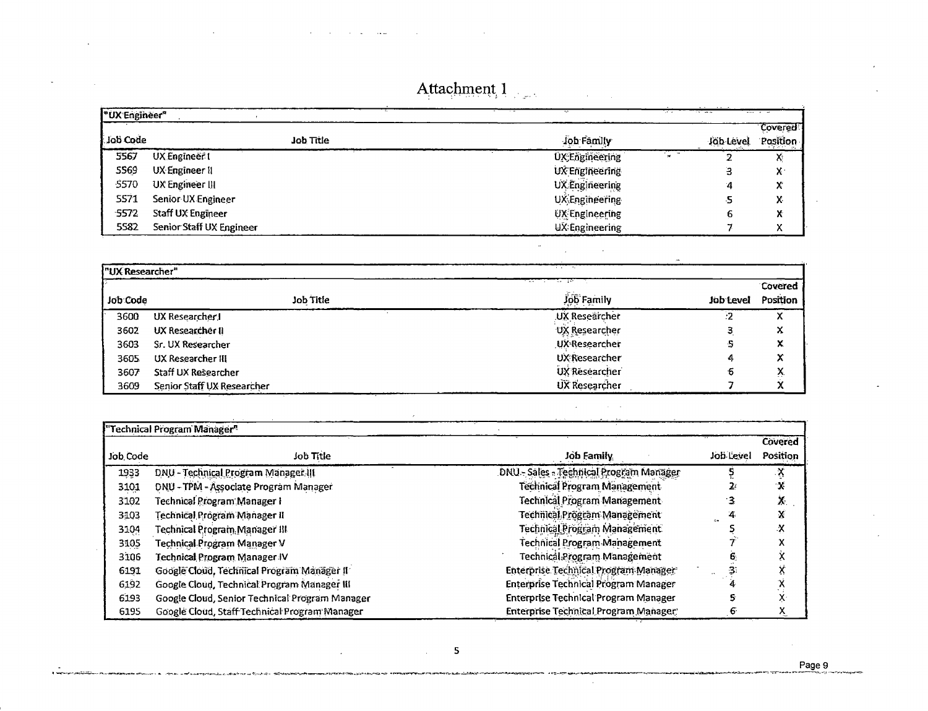|  |  |  | the contract of the contract of the contract of the contract of the contract of the contract of the contract of |  |
|--|--|--|-----------------------------------------------------------------------------------------------------------------|--|
|  |  |  |                                                                                                                 |  |

|          | "UX Engineer"            |                                      |           | and a                      |
|----------|--------------------------|--------------------------------------|-----------|----------------------------|
| Job Code | <b>Job Title</b>         | Job Family                           | Job Level | <b>Covered</b><br>Position |
| 5567     | UX Engineer t            | <b>Seat</b><br><b>UX-Engineering</b> |           | v.<br>٨ï                   |
| 5569     | UX Engineer II           | UX Engineering                       |           | v.<br>́                    |
| -5570    | UX Engineer III          | <b>UX</b> Engineering                |           | $\mathcal{L}$<br>A         |
| 5571     | Senior UX Engineer       | UX Engineering                       |           | v<br>A.                    |
| 5572     | Staff UX Engineer        | <b>UX</b> Engineering                |           | v<br>Λ                     |
| 5582     | Senior Staff UX Engineer | UX Engineering                       |           | $\checkmark$<br>Λ          |

| "UX Researcher" |                            |                                           |           |          |
|-----------------|----------------------------|-------------------------------------------|-----------|----------|
|                 |                            | the company of the company of the company |           | Covered  |
| Job Code        | Job Title                  | Job Family                                | Job Level | Position |
| 3600            | UX Researcher J            | UX Researcher                             | -2        |          |
| 3602            | UX Researcher II           | UX Researcher                             |           | x        |
| 3603            | Sr. UX Researcher          | UX-Researcher                             |           | x        |
| 3605            | UX Researcher III          | <b>UX Researcher</b>                      |           | x        |
| 3607            | Staff UX Researcher        | UX Researcher                             | ъ         | л.       |
| 3609            | Senior Staff UX Researcher | UX Researcher                             |           |          |

| <b>Contract Contract Contract</b> | <b>Contract Contract</b> |  |
|-----------------------------------|--------------------------|--|

 $\sim$ 

 $\sim 100$ 

 $\omega$ 

 $\mathcal{L}^{\mathcal{L}}$ 

 $\sim 10$ 

 $\sim$   $\sim$ 

 $\mathcal{A}_1$ 

|          | "Technical Program Manager"                    |                                         |           | Covered  |
|----------|------------------------------------------------|-----------------------------------------|-----------|----------|
| Job Code | Job Title                                      | Job Family                              | Job Level | Position |
| 1933     | DNU - Technical Program Manager III            | DNU - Sales - Technical Program Manager |           |          |
| 3101     | DNU - TPM - Associate Program Manager          | Technical Program Management            |           | х        |
| 3102     | Technical Program Manager I                    | <b>Technical Program Management</b>     |           | X.       |
| 3103     | Technical Prógram Manager II                   | Technical Prögram Management            |           | X        |
| 3104     | Technical Program Manager III                  | Technical Program Management            |           | x        |
| 3105     | Technical Program Manager V                    | Technical Program Management            |           |          |
| 3106     | Technical Program Manager IV                   | Technical Program Management            |           |          |
| 6191     | Google Cloud, Technical Program Manager II     | Enterprise Technical Program Manager    |           |          |
| 6192     | Google Cloud, Technical Program Manager III    | Enterprise Technical Program Manager    |           | نۍ ۲۰    |
| 6193     | Google Cloud, Senior Technical Program Manager | Enterprise Technical Program Manager    |           | X.       |
| 6195     | Google Cloud, Staff Technical Program Manager  | Enterprise Technical Program Manager    |           | X.       |

 $\mathcal{L}$ 

 $\mathcal{L}^{\mathcal{L}}$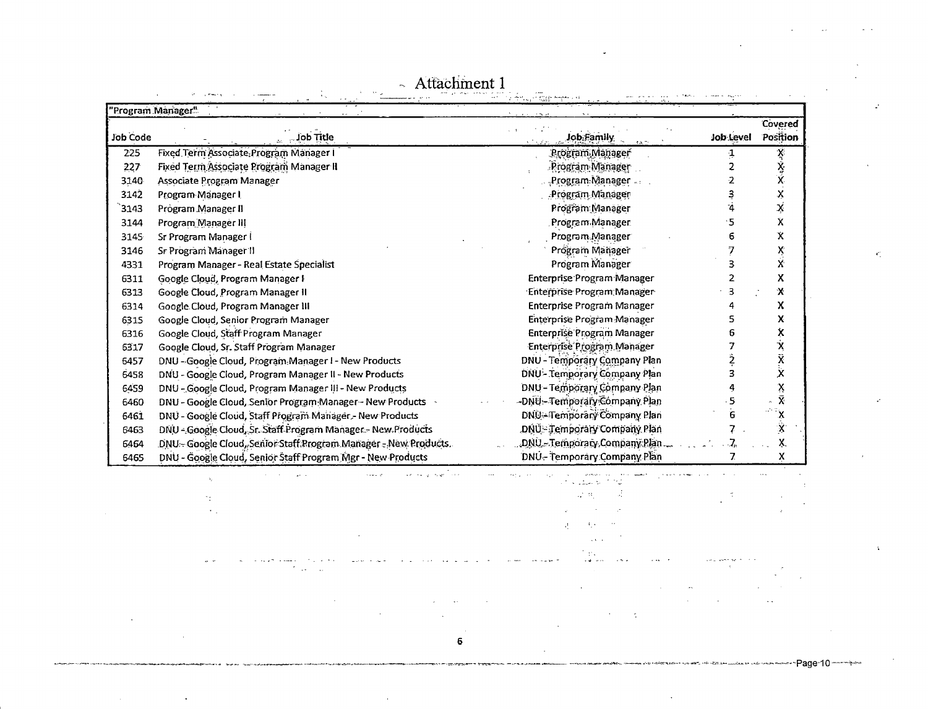|                 | Program Manager"                                                 | in sab                        |           |                    |
|-----------------|------------------------------------------------------------------|-------------------------------|-----------|--------------------|
|                 |                                                                  |                               |           | Covered            |
| <b>Job Code</b> | Job Title                                                        | <b>Job Family</b>             | Job Level | Position           |
| 225             | Fixed Term Associate, Program Manager I                          | Program Manager               |           | X,                 |
| 227             | Fixed Term Associate Program Manager II                          | Program Manager               |           | ؉<br>X             |
| 3140            | Associate Program Manager                                        | Program Manager               |           |                    |
| 3142            | Program Manager I                                                | Program Manager               |           | X                  |
| 3143            | Program Manager II                                               | Program Manager               |           | ķ                  |
| 3144            | Program Manager III                                              | Program Manager               | ٠5        | X                  |
| 3145            | Sr Program Manager I                                             | Program Manager               | 6         | χ                  |
| 3146            | Sr Program Manager II                                            | Program Manager               |           | ×<br>X             |
| 4331            | Program Manager - Real Estate Specialist                         | Program Manager               | 3         |                    |
| 6311            | Google Cloud, Program Manager I                                  | Enterprise Program Manager    |           | X                  |
| 6313            | Google Cloud, Program Manager II                                 | Enterprise Program Manager    | 3         | х                  |
| 6314            | Google Cloud, Program Manager III                                | Enterprise Program Manager    | 4         | χ                  |
| 6315            | Google Cloud, Senior Program Manager                             | Enterprise Program Manager    | 5         | x                  |
| 6316            | Google Cloud, Staff Program Manager                              | Enterprise Program Manager    | ճ         | х                  |
| 6317            | Google Cloud, Sr. Staff Program Manager                          | Enterprise Program Manager    |           |                    |
| 6457            | DNU - Google Cloud, Program Manager I - New Products             | DNU - Temporary Company Plan  |           |                    |
| 6458            | DNU - Google Cloud, Program Manager II - New Products            | DNU - Temporary Company Plan  |           |                    |
| 6459            | DNU - Google Cloud, Program Manager III - New Products           | DNU - Temporary Company Plan  |           |                    |
| 6460            | DNU - Google Cloud, Senior Program Manager - New Products        | -DNÜ- Temporary Company Plan  |           |                    |
| 6461            | DNU - Google Cloud, Staff Program Manager - New Products         | DNU-Temporary Company Plan    | 6         |                    |
| 6463            | DNU - Google Cloud, Sr. Staff Program Manager - New Products     | DNU - Temporary Company Plan  |           | $\hat{\mathbf{x}}$ |
| 6464            | DNU - Google Cloud, Senior Staff Program Manager - New Products. | DNU - Temporary Company Plan. |           |                    |
| 6465            | DNU - Google Cloud, Senior Staff Program Mgr - New Products      | DNU-Temporary Company Plan    |           | X                  |

 $~\sim~$  Attachment 1

 $\mathbf{z}^{\prime}$ 

 $\mathcal{A}^{\mu\nu}_{\lambda\nu}$ 

 $\mathcal{L}$ 

Page-10

 $\Delta$ 

العرب الإسلامية.<br>- التي الأربع العروفي الأرب  $\alpha$  and  $\alpha$ **Contract** المحد **Carlo Compa**  $\mathcal{A}_1$  $\frac{1}{2}$  $\mathcal{A}^{\pm}$  it  $\tilde{\mathbb{I}}$  $\gamma_{\rm T}$  $\langle\sigma\rangle_{\rm{in}}$  $\bar{z}$  $\mathcal{A}^{\pm}$  $A_1\in\mathbb{R}^{n\times n}$  $\sim 10^{-1}$  km  $^{-1}$ nia<br>Na siya masa  $\mathcal{L}_{\text{max}}$  $\mathbf{r}$  and  $\mathbf{r}$  and  $\mathbf{r}$  $\omega \rightarrow$  $\mathcal{F}$  as a  $\mathcal{F}$  $\sim 10^{-11}$  $\mathbf{r}$  $\mathcal{L}$  $\mathbf{r}$  $\sim$  $\mathcal{A}^{\text{max}}$  and  $\mathcal{A}^{\text{max}}$  $\ddot{\phantom{a}}$  $\ddot{\phantom{a}}$  $\mathcal{A}$ 

 $\sim$ 

 $\bar{\mathcal{A}}$ 

 $\mathcal{A}^{\text{max}}$ 

 $\sim 100$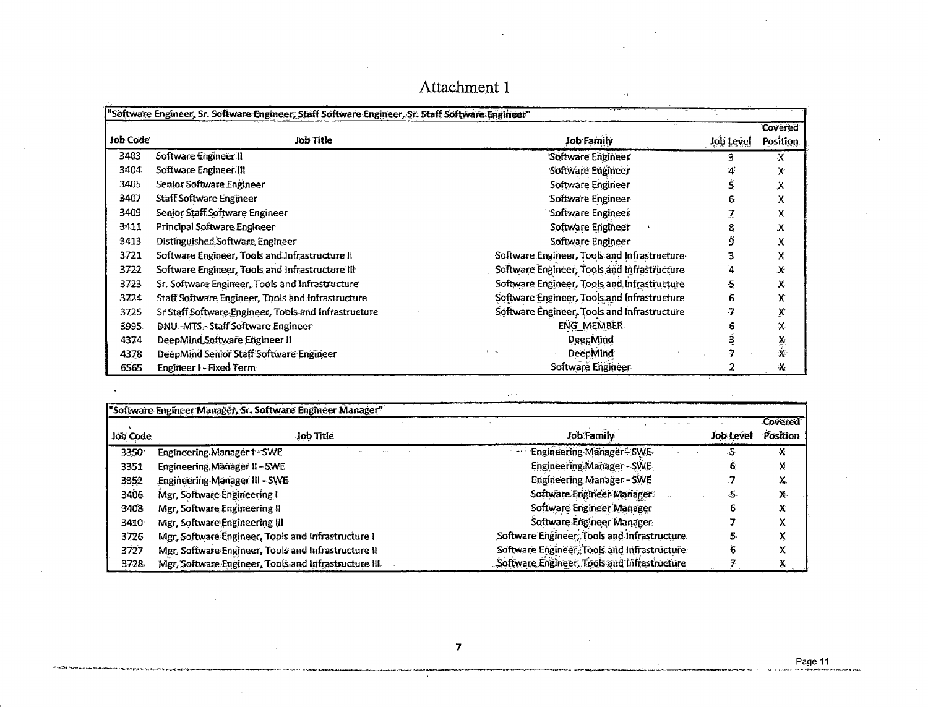|                 | "Software Engineer, Sr. Software Engineer, Staff Software Engineer, Sr. Staff Software Engineer" |                                             |           |                |
|-----------------|--------------------------------------------------------------------------------------------------|---------------------------------------------|-----------|----------------|
|                 |                                                                                                  |                                             |           | <b>Covered</b> |
| <b>Job Code</b> | <b>Job Title</b>                                                                                 | <b>Job Family</b>                           | Job Level | Position       |
| 3403            | Software Engineer II                                                                             | Software Engineer                           | 3         | х              |
| 3404            | Software Engineer III                                                                            | Software Engineer                           |           | X.             |
| 3405            | Senior Software Engineer                                                                         | Software Engineer                           |           | Х              |
| 3407            | <b>Staff Software Engineer</b>                                                                   | Software Engineer                           |           | χ              |
| 3409            | Senior Staff Software Engineer                                                                   | Software Engineer                           |           | x              |
| 3411            | Principal Software Engineer                                                                      | Software Engineer                           | 8         | х              |
| 3413            | Distinguished Software Engineer                                                                  | Software Engineer                           |           | x              |
| 3721            | Software Engineer, Tools and Infrastructure II                                                   | Software Engineer, Tools and Infrastructure |           | х              |
| 3722            | Software Engineer, Tools and Infrastructure III                                                  | Software Engineer, Tools and Infrastructure |           | X              |
| 3723            | Sr. Software Engineer, Tools and Infrastructure                                                  | Software Engineer, Tools and Infrastructure |           | x              |
| 3724            | Staff Software Engineer, Tools and Infrastructure                                                | Software Engineer, Tools and Infrastructure | 6         | X              |
| 3725            | Sr Staff Software Engineer, Tools and Infrastructure                                             | Software Engineer, Tools and Infrastructure |           | χ              |
| 3995.           | DNU-MTS - Staff Software Engineer                                                                | ENG MEMBER                                  |           | x              |
| 4374            | DeepMind Software Engineer II                                                                    | DeepMind                                    |           | $\frac{x}{x}$  |
| 4378            | DeepMind Senior Staff Software Engineer                                                          | DeepMind                                    |           |                |
| 6565            | <b>Engineer I-Fixed Term</b>                                                                     | Software Engineer                           |           | X              |

| "Software Engineer Manager, Sr. Software Engineer Manager" |                                                      |                                             |           |                |
|------------------------------------------------------------|------------------------------------------------------|---------------------------------------------|-----------|----------------|
|                                                            |                                                      |                                             |           | <b>Covered</b> |
| Job Code                                                   | Job Title                                            | Job Family                                  | Job Level | Position       |
| 3350                                                       | Engineering Manager 1-SWE                            | Engineering Manager - SWE                   |           | X              |
| 3351                                                       | Engineering Manager II - SWE                         | Engineering Manager - SWE                   | 6         |                |
| 3352                                                       | <b>Engineering Manager III - SWE</b>                 | <b>Engineering Manager-SWE</b>              |           | X.             |
| 3406                                                       | Mgr, Software Engineering I                          | Software Engineer Managers                  | -20       |                |
| 3408                                                       | Mgr, Software Engineering II                         | Software Engineer Manager                   | n۰        |                |
| 3410                                                       | Mgr, Software Engineering III                        | Software Engineer Manager                   |           |                |
| 3726                                                       | Mgr. Software Engineer, Tools and Infrastructure I   | Software Engineer, Tools and Infrastructure |           |                |
| 3727                                                       | Mgr, Software Engineer, Tools and Infrastructure II  | Software Engineer, Tools and Infrastructure |           |                |
| 3728                                                       | Mgr, Software Engineer, Tools and Infrastructure III | Software Engineer, Tools and Infrastructure |           |                |

 $\hat{\mathbf{z}}$  .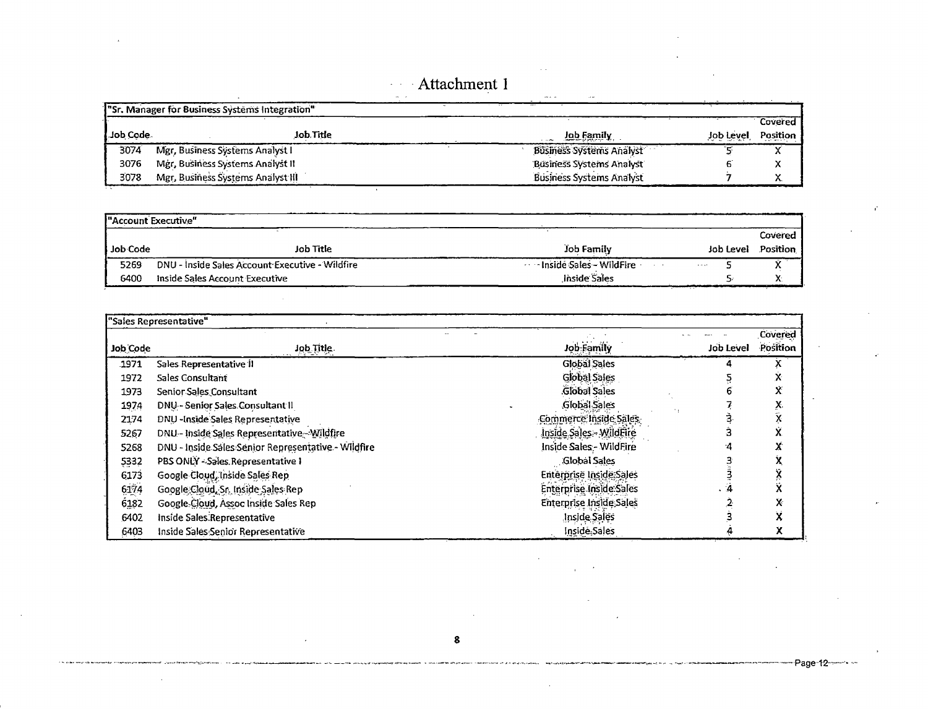#### Attachment 1  $\zeta=1$

|              | 'Sr. Manager for Business Systems Integration" |                                 |           |          |
|--------------|------------------------------------------------|---------------------------------|-----------|----------|
|              |                                                |                                 |           | Covered  |
| l Job Code - | Job Title                                      | Job Family                      | Job Level | Position |
| 3074         | Mgr, Business Systems Analyst I                | <b>Business Systems Analyst</b> |           |          |
| 3076         | Mgr, Business Systems Analyst II               | <b>Business Systems Analyst</b> |           |          |
| 3078         | Mgr, Business Systems Analyst III              | <b>Business Systems Analyst</b> |           |          |

| <sup>"</sup> Account Executive" |                                                 |                                       |                         |                 |
|---------------------------------|-------------------------------------------------|---------------------------------------|-------------------------|-----------------|
|                                 |                                                 |                                       |                         | Covered         |
| Job Code                        | Job Title                                       | Job Family                            | Job Level               | <b>Position</b> |
| 5269                            | DNU - Inside Sales Account Executive - Wildfire | <b>1995 - Inside Sales - WildFire</b> | $\alpha$ , and $\alpha$ |                 |
| 6400                            | Inside Sales Account Executive                  | Jnside Sales                          |                         |                 |

|          | "Sales Representative"                              |                                |           |          |
|----------|-----------------------------------------------------|--------------------------------|-----------|----------|
|          |                                                     |                                |           | Covered  |
| Job Code | Job Title                                           | Job Family                     | Job Level | Position |
| .1971    | Sales Representative II                             | Global Sales                   |           |          |
| 1972     | Sales Consultant                                    | <b>Global Sales</b>            |           | X        |
| 1973     | Senior Sales Consultant                             | Global Sales                   |           | Ý.       |
| 1974     | DNU - Senior Sales Consultant II                    | Global Sales                   |           | X.       |
| 2174     | DNU - Inside Sales Representative                   | Commerce Inside Sales          |           | X        |
| 5267     | DNU - Inside Sales Representative - Wildfire        | Inside Sales - WildFire        |           | Ý.       |
| 5268     | DNU - Inside Sales Senior Representative - Wildfire | Inside Sales - WildFire        |           | X        |
| 5332     | PBS ONLY -- Sales. Representative 1                 | Global Sales                   |           | X        |
| 6173     | Google Cloud, Inside Sales Rep                      | Enterprise Inside Sales        |           | Ÿ        |
| $6174\,$ | Google Cloud, Sr. Inside Sales Rep                  | <b>Enterprise Inside Sales</b> |           | ΧŚ,      |
| 6182     | Google Cloud, Assoc Inside Sales Rep                | Enterprise Inside Sales        |           | X        |
| 6402     | Inside Sales Representative                         | Inside Sales                   |           | χ        |
| 6403     | Inside Sales Senior Representative                  | Inside Sales                   |           | χ        |

 $\sim$ 

 $\overline{\phantom{a}}$ 

Page-12-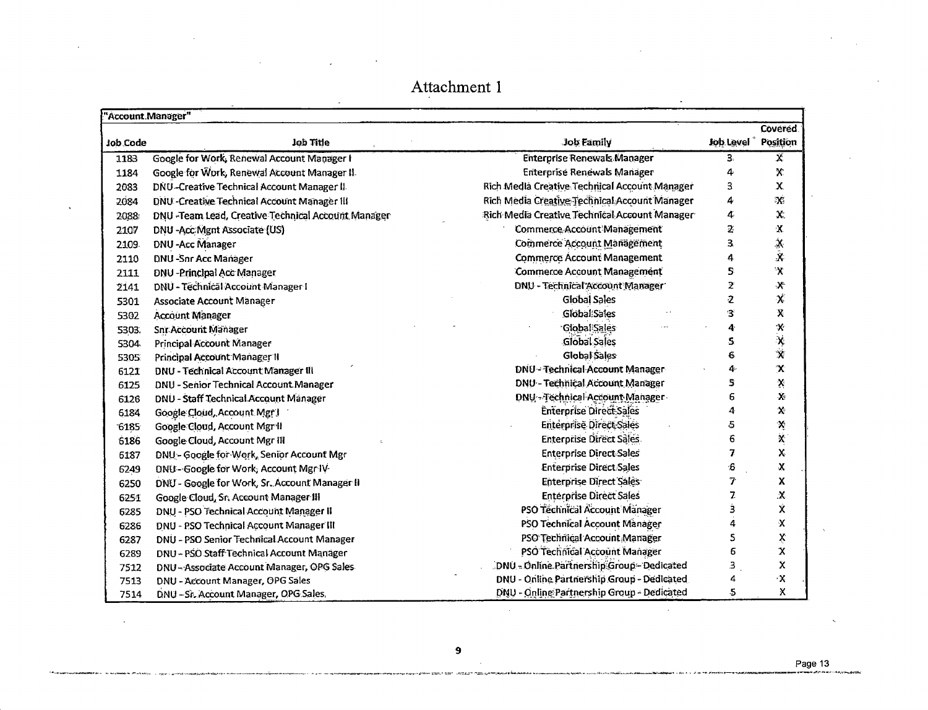| "Account.Manager" |                                                     |                                               |                | Covered.                        |
|-------------------|-----------------------------------------------------|-----------------------------------------------|----------------|---------------------------------|
| Job Code          | Job Title                                           | Job Family                                    | Job Level      | Position                        |
| 1183              | Google for Work, Renewal Account Manager I          | <b>Enterprise Renewals Manager</b>            | З.             | Х                               |
| 1184              | Google for Work, Renewal Account Manager II.        | <b>Enterprise Renewals Manager</b>            | 4              | X                               |
| 2083              | DNU-Creative Technical Account Manager II           | Rich Media Creative Technical Account Manager | 3              | $\mathbf x$                     |
| 2084              | DNU - Creative Technical Account Manager III        | Rich Media Creative Technical Account Manager | 4              | $\mathbf{X}$                    |
| 2088              | DNU - Team Lead, Creative Technical Account Manager | Rich Media Creative Technical Account Manager | 4              | $\mathbf{X}$                    |
| 2107              | DNU - Acc: Mgnt Associate (US)                      | <b>Commerce Account Management</b>            | 2              | $\mathbf X$                     |
| 2109              | <b>DNU-Acc Manager</b>                              | Commerce Account Management                   | 3              | $\frac{\mathbf{x}}{\mathbf{x}}$ |
| 2110              | <b>DNU-Snr Acc Manager</b>                          | <b>Commerce Account Management</b>            | 4              |                                 |
| 2111              | DNU - Principal Acc Manager                         | <b>Commerce Account Management</b>            | S.             | $\mathbf{\hat{X}}$              |
| 2141              | DNU - Technical Account Manager I                   | DNU - Technical Account Manager               | 2              | $\mathbf{X}$                    |
| 5301              | <b>Associate Account Manager</b>                    | <b>Global Sales</b>                           | 2              | X                               |
| 5302              | <b>Account Manager</b>                              | Global Sales                                  | З              | χ                               |
| 5303.             | <b>Snr Account Manager</b>                          | <b>Global Sales</b>                           | 4              |                                 |
| 5304              | Principal Account Manager                           | <b>Global Sales</b>                           | S.             | $x$<br>$\overline{x}$           |
| 5305              | Principal Account Manager II                        | Global Sales                                  | 6              |                                 |
| 6121              | DNU - Technical Account Manager III                 | <b>DNU - Technical Account Manager</b>        | 4              | $\pmb{\chi}$                    |
| 6125              | DNU - Senior Technical Account Manager              | DNU - Technical Account Manager               | 5              | $\mathbf{\hat{x}}$              |
| 6126              | DNU - Staff Technical Account Manager               | DNU - Technical Account Manager               | 6              | Ý,                              |
| 6184              | Google Cloud, Account Mgr J                         | <b>Enterprise Direct Sales</b>                | 4              | $\mathbf{x}$                    |
| 6185              | Google Cloud, Account Mgr H                         | Enterprise Direct-Sales                       | 5              | Ķ                               |
| 6186              | Google Cloud, Account Mgr III                       | <b>Enterprise Direct Sales</b>                | 6              | Ķ.                              |
| 6187              | DNU - Google for Work, Senior Account Mgr           | <b>Enterprise Direct Sales</b>                | 7              | X                               |
| 6249              | DNU - Google for Work, Account Mgr IV               | <b>Enterprise Direct Sales</b>                | 6              | $\mathbf X$                     |
| 6250              | DNU - Google for Work, Sr. Account Manager II       | Enterprise Direct Sales                       | 7              | χ                               |
| 6251              | Google Cloud, Sr. Account Manager III               | <b>Enterprise Direct Sales</b>                | 7.             | $\mathbf x$                     |
| 6285              | DNU - PSO Technical Account Manager II              | PSO Technical Account Manager                 | 3              | X.                              |
| 6286              | DNU - PSO Technical Account Manager III             | PSO Technical Account Manager                 | 4              | $\mathbf x$                     |
| 6287              | DNU - PSO Senior Technical Account Manager          | PSO Technical Account Manager                 | 5              | Ķ                               |
| 6289              | DNU - PSO Staff Technical Account Manager           | PSO Technical Account Manager                 | 6              | χ                               |
| 7512              | DNU - Associate Account Manager, OPG Sales          | DNU - Online Partnership Group - Dedicated    | з              | X                               |
| 7513              | DNU - Account Manager, OPG Sales                    | DNU - Online Partnership Group - Dedicated    | 4              | $\propto$                       |
| 7514              | DNU - Sr. Account Manager, OPG Sales.               | DNU - Online Partnership Group - Dedicated    | $\overline{5}$ | χ                               |

 $\bar{\mathbf{v}}$ 

 $\mathbf{r}$